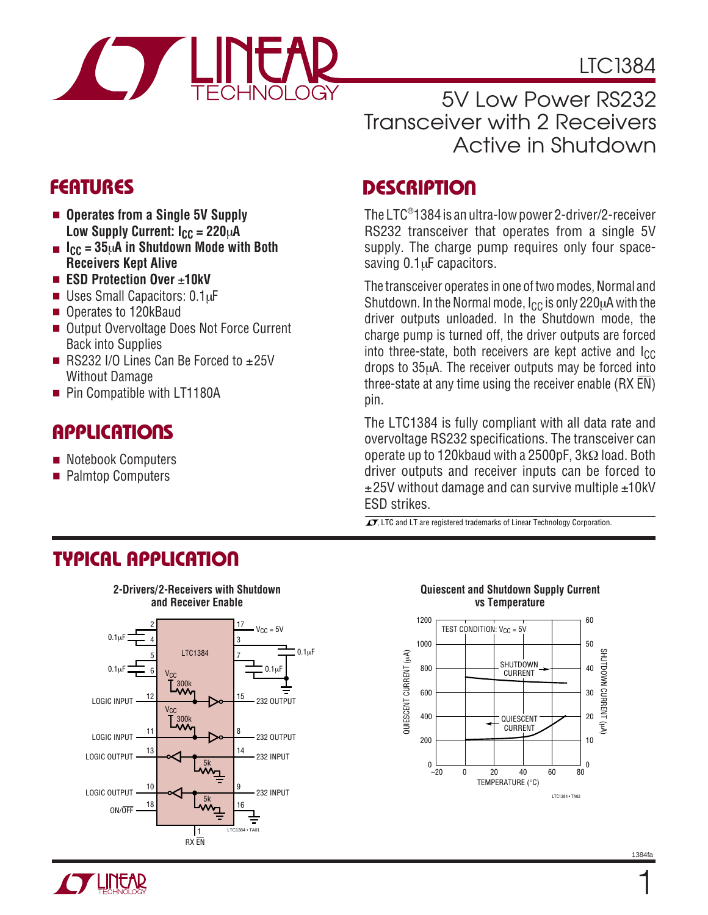

LTC1384

5V Low Power RS232 Transceiver with 2 Receivers Active in Shutdown

- **Operates from a Single 5V Supply** Low Supply Current:  $I_{CC} = 220 \mu A$
- **ICC = 35**µ**A in Shutdown Mode with Both Receivers Kept Alive**
- **ESD Protection Over ±10kV**
- Uses Small Capacitors: 0.1µF
- Operates to 120kBaud
- Output Overvoltage Does Not Force Current Back into Supplies
- RS232 I/O Lines Can Be Forced to  $±25V$ Without Damage
- Pin Compatible with LT1180A

# **APPLICATIONS**

- Notebook Computers
- Palmtop Computers

# **FEATURES DESCRIPTIO <sup>U</sup>**

The LTC® 1384 is an ultra-low power 2-driver/2-receiver RS232 transceiver that operates from a single 5V supply. The charge pump requires only four spacesaving 0.1µF capacitors.

The transceiver operates in one of two modes, Normal and Shutdown. In the Normal mode,  $I_{CC}$  is only 220 $\mu$ A with the driver outputs unloaded. In the Shutdown mode, the charge pump is turned off, the driver outputs are forced into three-state, both receivers are kept active and  $I_{CC}$ drops to 35µA. The receiver outputs may be forced into three-state at any time using the receiver enable (RX  $\overline{EN}$ ) pin.

The LTC1384 is fully compliant with all data rate and overvoltage RS232 specifications. The transceiver can operate up to 120kbaud with a 2500pF, 3kΩ load. Both driver outputs and receiver inputs can be forced to  $\pm$ 25V without damage and can survive multiple  $\pm$ 10kV ESD strikes.

 $\overline{\mathcal{I}\mathcal{I}}$ , LTC and LT are registered trademarks of Linear Technology Corporation.

### **TYPICAL APPLICATIO U**



#### **Quiescent and Shutdown Supply Current vs Temperature**



1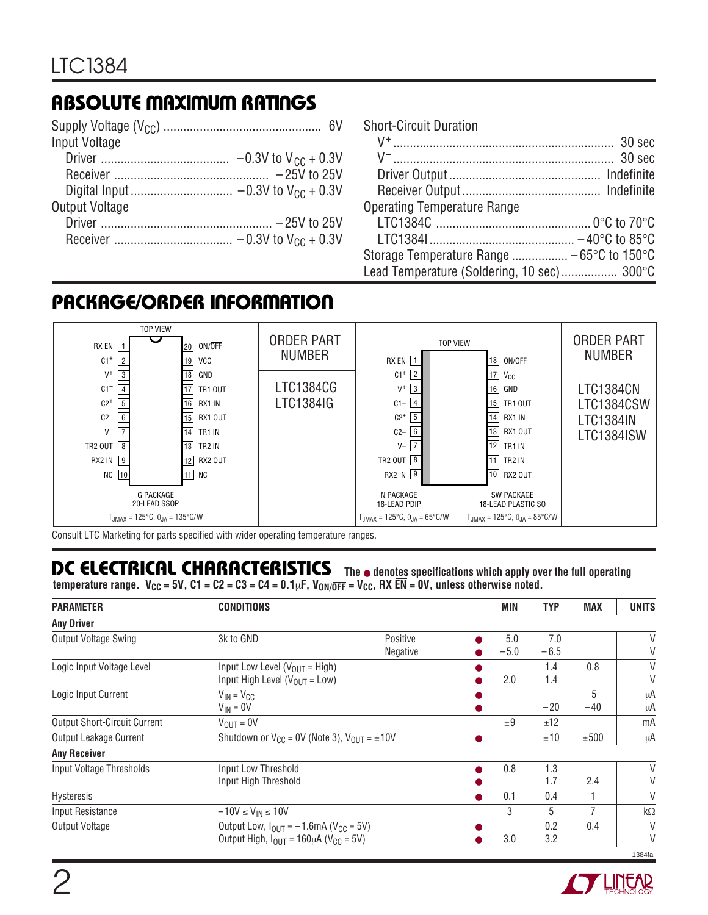# **ABSOLUTE MAXIMUM RATINGS**

| Input Voltage  |
|----------------|
|                |
|                |
|                |
| Output Voltage |
|                |
|                |
|                |

| <b>Short-Circuit Duration</b>              |  |
|--------------------------------------------|--|
|                                            |  |
|                                            |  |
|                                            |  |
|                                            |  |
| <b>Operating Temperature Range</b>         |  |
|                                            |  |
|                                            |  |
| Storage Temperature Range  - 65°C to 150°C |  |
| Lead Temperature (Soldering, 10 sec) 300°C |  |

## **PACKAGE/ORDER INFORMATION**



Consult LTC Marketing for parts specified with wider operating temperature ranges.

# **DC ELECTRICAL CHARACTERISTICS The** ● **denotes specifications which apply over the full operating**

temperature range. V<sub>CC</sub> = 5V, C1 = C2 = C3 = C4 = 0.1µF, V<sub>ON/OFF</sub> = V<sub>CC</sub>, RX EN = 0V, unless otherwise noted.

| <b>PARAMETER</b>                    | <b>CONDITIONS</b>                                                                                                    |                      |    | MIN           | <b>TYP</b>    | <b>MAX</b> | <b>UNITS</b> |
|-------------------------------------|----------------------------------------------------------------------------------------------------------------------|----------------------|----|---------------|---------------|------------|--------------|
| <b>Any Driver</b>                   |                                                                                                                      |                      |    |               |               |            |              |
| Output Voltage Swing                | 3k to GND                                                                                                            | Positive<br>Negative |    | 5.0<br>$-5.0$ | 7.0<br>$-6.5$ |            | V            |
| Logic Input Voltage Level           | Input Low Level ( $V_{OIII}$ = High)<br>Input High Level ( $V_{OUT}$ = Low)                                          |                      |    | 2.0           | 1.4<br>1.4    | 0.8        | V            |
| Logic Input Current                 | $V_{IN} = V_{CC}$<br>$V_{IN} = 0V$                                                                                   |                      |    |               | $-20$         | 5<br>$-40$ | μA<br>μA     |
| <b>Output Short-Circuit Current</b> | $V_{\text{OUT}} = 0V$                                                                                                |                      |    | ±9            | ±12           |            | mA           |
| Output Leakage Current              | Shutdown or $V_{CC} = 0V$ (Note 3), $V_{OIII} = \pm 10V$                                                             |                      | Δ. |               | ±10           | ±500       | μA           |
| <b>Any Receiver</b>                 |                                                                                                                      |                      |    |               |               |            |              |
| Input Voltage Thresholds            | Input Low Threshold<br>Input High Threshold                                                                          |                      |    | 0.8           | 1.3<br>1.7    | 2.4        | V<br>V       |
| Hysteresis                          |                                                                                                                      |                      |    | 0.1           | 0.4           |            | V            |
| Input Resistance                    | $-10V \leq V_{IN} \leq 10V$                                                                                          |                      |    | 3             | 5             |            | $k\Omega$    |
| <b>Output Voltage</b>               | Output Low, $I_{OUT} = -1.6$ mA (V <sub>CC</sub> = 5V)<br>Output High, $I_{OIII} = 160 \mu A$ (V <sub>CC</sub> = 5V) |                      |    | 3.0           | 0.2<br>3.2    | 0.4        | V<br>V       |
|                                     |                                                                                                                      |                      |    |               |               |            | 1384fa       |

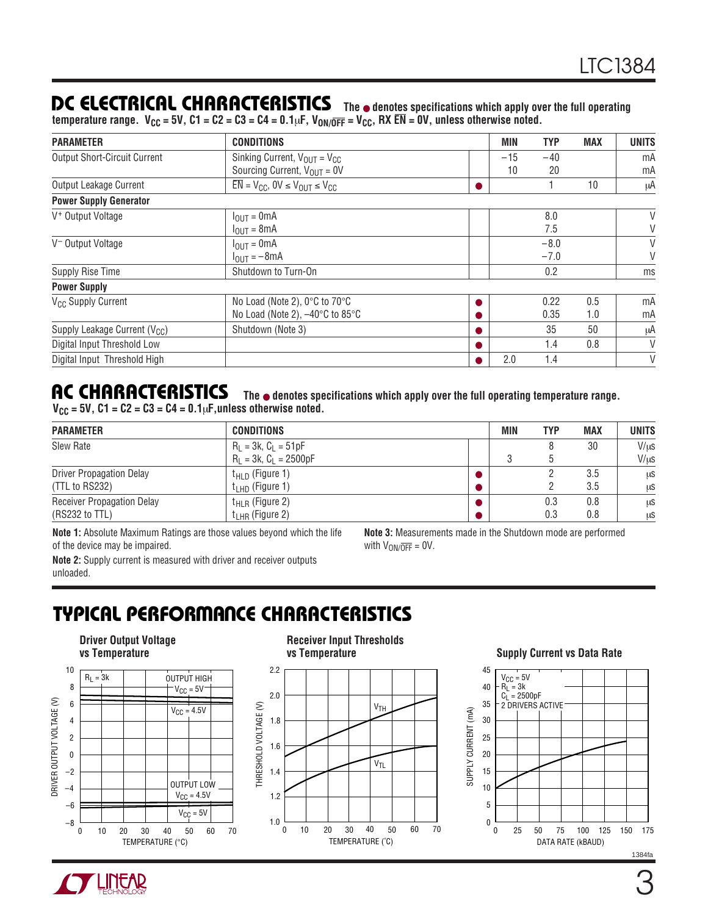### **DC ELECTRICAL CHARACTERISTICS The** ● **denotes specifications which apply over the full operating**

temperature range. V<sub>CC</sub> = 5V, C1 = C2 = C3 = C4 = 0.1µF, V<sub>ON/O</sub>FF = V<sub>CC</sub>, RX EN = 0V, unless otherwise noted.

| <b>PARAMETER</b>                    | <b>CONDITIONS</b>                                          | <b>MIN</b> | <b>TYP</b> | <b>MAX</b> | <b>UNITS</b> |
|-------------------------------------|------------------------------------------------------------|------------|------------|------------|--------------|
| <b>Output Short-Circuit Current</b> | Sinking Current, $V_{OUT} = V_{CC}$                        | $-15$      | $-40$      |            | mA           |
|                                     | Sourcing Current, $V_{OUT} = 0V$                           | 10         | 20         |            | mA           |
| Output Leakage Current              | $\overline{EN}$ = $V_{CC}$ , $0V \leq V_{OUT} \leq V_{CC}$ |            |            | 10         | μA           |
| <b>Power Supply Generator</b>       |                                                            |            |            |            |              |
| V <sup>+</sup> Output Voltage       | $I_{\text{OUT}} = 0 \text{mA}$                             |            | 8.0        |            | V            |
|                                     | $I_{OUT} = 8mA$                                            |            | 7.5        |            | V            |
| V <sup>-</sup> Output Voltage       | $I_{\text{OUT}} = 0 \text{mA}$                             |            | $-8.0$     |            | V            |
|                                     | $I_{\text{OUT}} = -8 \text{mA}$                            |            | $-7.0$     |            | V            |
| Supply Rise Time                    | Shutdown to Turn-On                                        |            | 0.2        |            | ms           |
| <b>Power Supply</b>                 |                                                            |            |            |            |              |
| V <sub>CC</sub> Supply Current      | No Load (Note 2), 0°C to 70°C                              |            | 0.22       | 0.5        | mA           |
|                                     | No Load (Note 2), -40°C to 85°C                            |            | 0.35       | 1.0        | mA           |
| Supply Leakage Current ( $V_{CC}$ ) | Shutdown (Note 3)                                          |            | 35         | 50         | μA           |
| Digital Input Threshold Low         |                                                            |            | 1.4        | 0.8        | V            |
| Digital Input Threshold High        |                                                            | 2.0        | 1.4        |            | V            |

#### **AC CHARACTERISTICS The** ● **denotes specifications which apply over the full operating temperature range.**  $V_{\text{CC}} = 5V$ ,  $C1 = C2 = C3 = C4 = 0.1 \mu F$ , unless otherwise noted.

| <b>PARAMETER</b>                  | <b>CONDITIONS</b>           | <b>MIN</b> | <b>TYP</b> | <b>MAX</b> | <b>UNITS</b> |
|-----------------------------------|-----------------------------|------------|------------|------------|--------------|
| Slew Rate                         | $R_1 = 3k$ , $C_1 = 51pF$   |            |            | 30         | $V/\mu s$    |
|                                   | $R_L = 3k$ , $C_L = 2500pF$ |            |            |            | $V/\mu s$    |
| <b>Driver Propagation Delay</b>   | $t_{\text{HLD}}$ (Figure 1) |            |            | 3.5        | μS           |
| (TTL to RS232)                    | $t_{LHD}$ (Figure 1)        |            |            | 3.5        | μS           |
| <b>Receiver Propagation Delay</b> | $t_{HLR}$ (Figure 2)        |            | 0.3        | 0.8        | μS           |
| (RS232 to TTL)                    | $t_{LHR}$ (Figure 2)        |            | 0.3        | 0.8        | μS           |

**Note 1:** Absolute Maximum Ratings are those values beyond which the life of the device may be impaired.

**Note 3:** Measurements made in the Shutdown mode are performed with  $V_{ON/\overline{OFF}} = 0V$ .

**Note 2:** Supply current is measured with driver and receiver outputs unloaded.

# **TYPICAL PERFORMANCE CHARACTERISTICS**



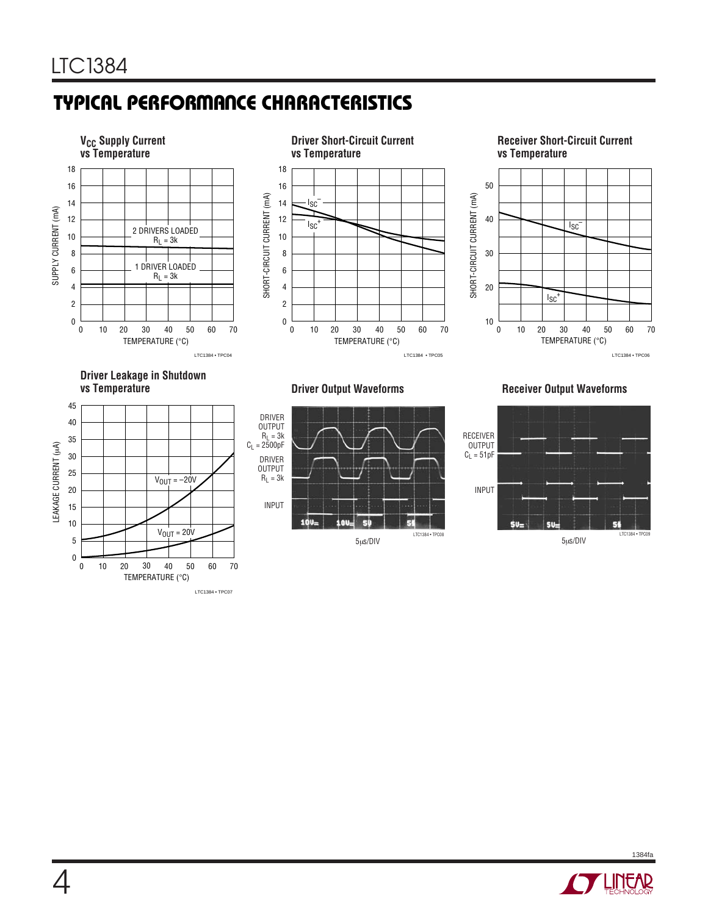# **TYPICAL PERFORMANCE CHARACTERISTICS**















#### **Driver Output Waveforms Receiver Output Waveforms**





1384fa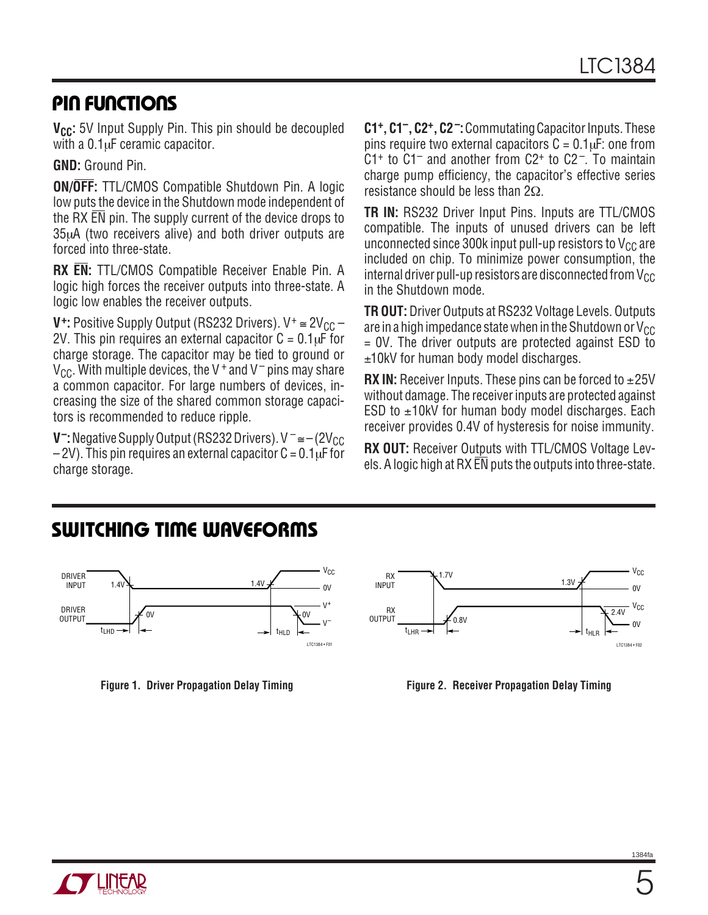# **PIN FUNCTIONS**

**V<sub>CC</sub>:** 5V Input Supply Pin. This pin should be decoupled with a  $0.1 \mu$ F ceramic capacitor.

**GND:** Ground Pin.

**ON/OFF:** TTL/CMOS Compatible Shutdown Pin. A logic low puts the device in the Shutdown mode independent of the RX EN pin. The supply current of the device drops to 35µA (two receivers alive) and both driver outputs are forced into three-state.

**RX EN:** TTL/CMOS Compatible Receiver Enable Pin. A logic high forces the receiver outputs into three-state. A logic low enables the receiver outputs.

**V<sup><sup>+</sup>:** Positive Supply Output (RS232 Drivers). V<sup>+</sup>  $\approx$  2V<sub>CC</sub> –</sup> 2V. This pin requires an external capacitor  $C = 0.1 \mu F$  for charge storage. The capacitor may be tied to ground or  $V_{CC}$ . With multiple devices, the V + and V – pins may share a common capacitor. For large numbers of devices, increasing the size of the shared common storage capacitors is recommended to reduce ripple.

**V<sup>-</sup>:** Negative Supply Output (RS232 Drivers). V<sup>-</sup> ≅ – (2V<sub>CC</sub>  $-2V$ ). This pin requires an external capacitor  $C = 0.1 \mu$ F for charge storage.

**C1+, C1–, C2+, C2–:**Commutating Capacitor Inputs. These pins require two external capacitors  $C = 0.1 \mu F$ : one from  $C1<sup>+</sup>$  to  $C1<sup>-</sup>$  and another from  $C2<sup>+</sup>$  to  $C2<sup>-</sup>$ . To maintain charge pump efficiency, the capacitor's effective series resistance should be less than 2Ω.

**TR IN:** RS232 Driver Input Pins. Inputs are TTL/CMOS compatible. The inputs of unused drivers can be left unconnected since 300k input pull-up resistors to  $V_{CC}$  are included on chip. To minimize power consumption, the internal driver pull-up resistors are disconnected from  $V_{CC}$ in the Shutdown mode.

**TR OUT:** Driver Outputs at RS232 Voltage Levels. Outputs are in a high impedance state when in the Shutdown or  $V_{CC}$ = 0V. The driver outputs are protected against ESD to ±10kV for human body model discharges.

**RX IN:** Receiver Inputs. These pins can be forced to  $\pm 25V$ without damage. The receiver inputs are protected against ESD to  $\pm$ 10kV for human body model discharges. Each receiver provides 0.4V of hysteresis for noise immunity.

**RX OUT:** Receiver Outputs with TTL/CMOS Voltage Levels. A logic high at RX  $\overline{EN}$  puts the outputs into three-state.

# **SWITCHING TIME WAVEFORMS**





**Figure 1. Driver Propagation Delay Timing Figure 2. Receiver Propagation Delay Timing**

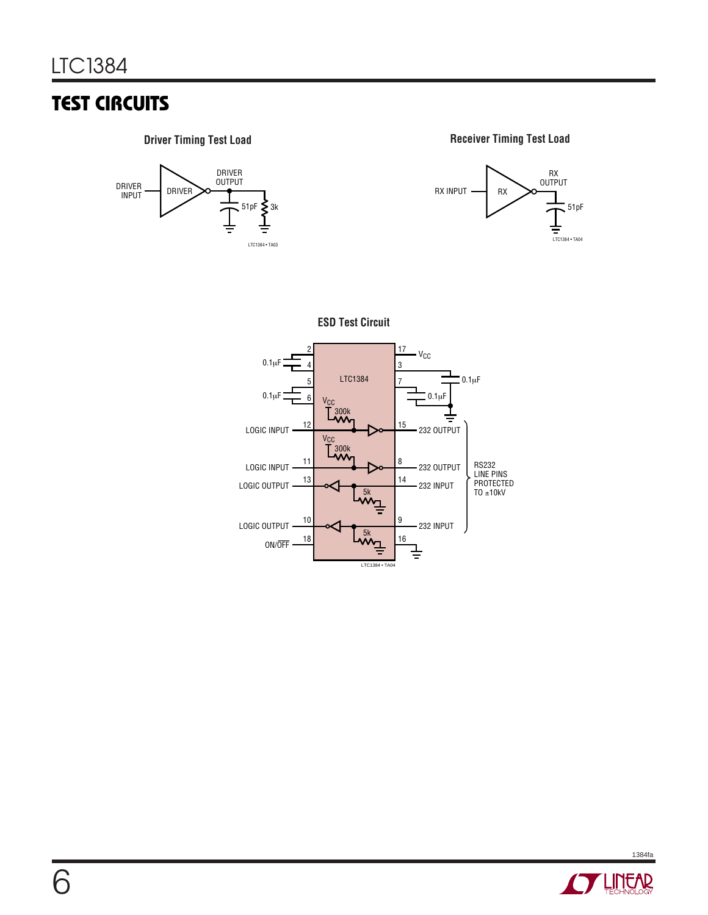# **TEST CIRCUITS**



**Driver Timing Test Load Receiver Timing Test Load** 









1384fa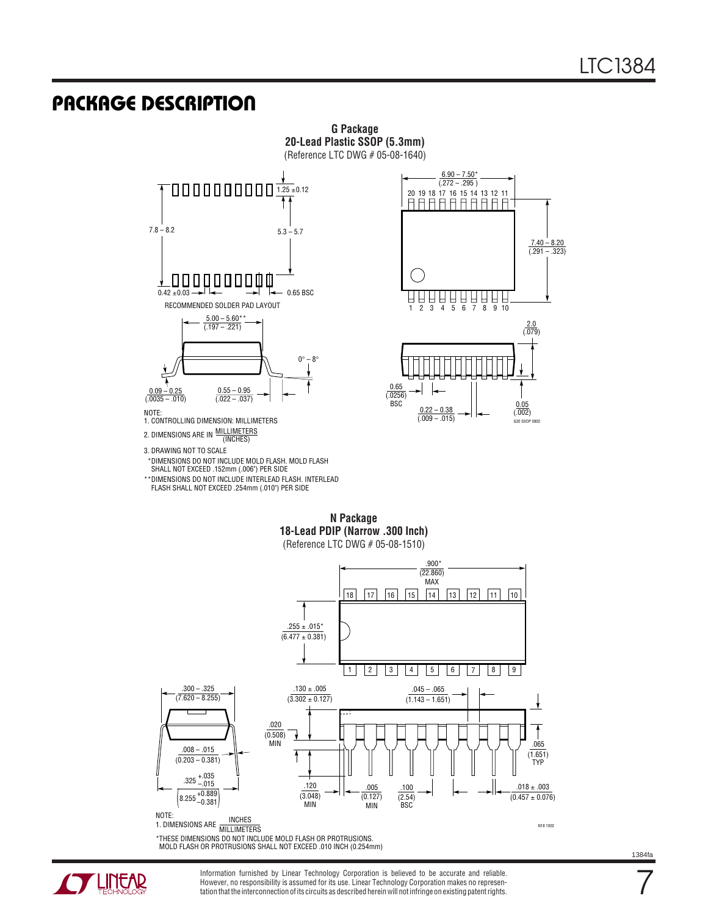#### **U PACKAGE DESCRIPTIO**





- 3. DRAWING NOT TO SCALE
- DIMENSIONS DO NOT INCLUDE MOLD FLASH. MOLD FLASH \* SHALL NOT EXCEED .152mm (.006") PER SIDE
- \*\*DIMENSIONS DO NOT INCLUDE INTERLEAD FLASH. INTERLEAD
- FLASH SHALL NOT EXCEED .254mm (.010") PER SIDE





**N Package 18-Lead PDIP (Narrow .300 Inch)** (Reference LTC DWG # 05-08-1510)

**G Package 20-Lead Plastic SSOP (5.3mm)**



\*THESE DIMENSIONS DO NOT INCLUDE MOLD FLASH OR PROTRUSIONS. MOLD FLASH OR PROTRUSIONS SHALL NOT EXCEED .010 INCH (0.254mm)

**ANTENEAR** 

Information furnished by Linear Technology Corporation is believed to be accurate and reliable. However, no responsibility is assumed for its use. Linear Technology Corporation makes no representation that the interconnection of its circuits as described herein will not infringe on existing patent rights.

7